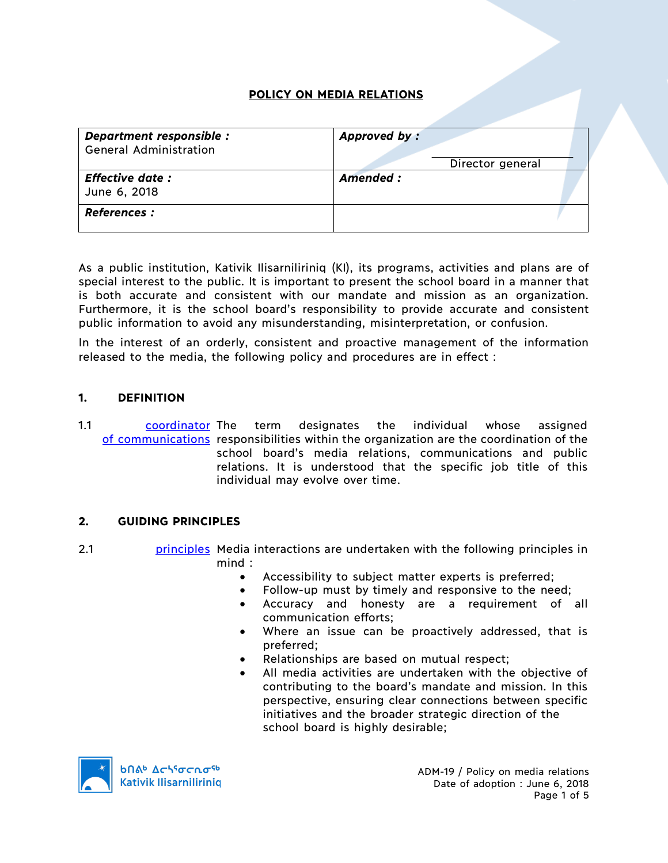# **POLICY ON MEDIA RELATIONS**

| Department responsible :<br><b>General Administration</b> | Approved by:<br>Director general |
|-----------------------------------------------------------|----------------------------------|
| <b>Effective date:</b><br>June 6, 2018                    | Amended:                         |
| <b>References :</b>                                       |                                  |

As a public institution, Kativik Ilisarniliriniq (KI), its programs, activities and plans are of special interest to the public. It is important to present the school board in a manner that is both accurate and consistent with our mandate and mission as an organization. Furthermore, it is the school board's responsibility to provide accurate and consistent public information to avoid any misunderstanding, misinterpretation, or confusion.

In the interest of an orderly, consistent and proactive management of the information released to the media, the following policy and procedures are in effect :

## **1. DEFINITION**

1.1 coordinator The of communications responsibilities within the organization are the coordination of the term designates the individual whose assigned school board's media relations, communications and public relations. It is understood that the specific job title of this individual may evolve over time.

## **2. GUIDING PRINCIPLES**

- 2.1 **principles** Media interactions are undertaken with the following principles in mind :
	- Accessibility to subject matter experts is preferred;
	- Follow-up must by timely and responsive to the need;
	- Accuracy and honesty are a requirement of all communication efforts;
	- Where an issue can be proactively addressed, that is preferred;
	- Relationships are based on mutual respect;
	- All media activities are undertaken with the objective of contributing to the board's mandate and mission. In this perspective, ensuring clear connections between specific initiatives and the broader strategic direction of the school board is highly desirable;

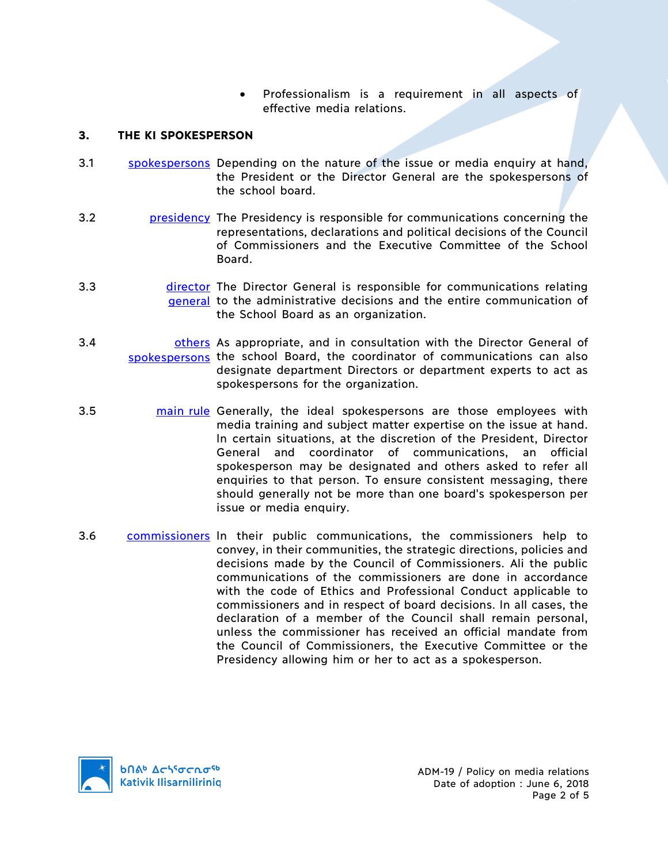• Professionalism is a requirement in all aspects of effective media relations.

# **3. THE KI SPOKESPERSON**

- 3.1 spokespersons Depending on the nature of the issue or media enquiry at hand, the President or the Director General are the spokespersons of the school board.
- 3.2 presidency The Presidency is responsible for communications concerning the representations, declarations and political decisions of the Council of Commissioners and the Executive Committee of the School Board.
- 3.3 **director** The Director General is responsible for communications relating general to the administrative decisions and the entire communication of the School Board as an organization.
- 3.4 **budge of all others** As appropriate, and in consultation with the Director General of spokespersons the school Board, the coordinator of communications can also designate department Directors or department experts to act as spokespersons for the organization.
- 3.5 main rule Generally, the ideal spokespersons are those employees with media training and subject matter expertise on the issue at hand. ln certain situations, at the discretion of the President, Director General and coordinator of communications, an official spokesperson may be designated and others asked to refer all enquiries to that person. To ensure consistent messaging, there should generally not be more than one board's spokesperson per issue or media enquiry.
- 3.6 commissioners ln their public communications, the commissioners help to convey, in their communities, the strategic directions, policies and decisions made by the Council of Commissioners. Ali the public communications of the commissioners are done in accordance with the code of Ethics and Professional Conduct applicable to commissioners and in respect of board decisions. ln all cases, the declaration of a member of the Council shall remain personal, unless the commissioner has received an official mandate from the Council of Commissioners, the Executive Committee or the Presidency allowing him or her to act as a spokesperson.

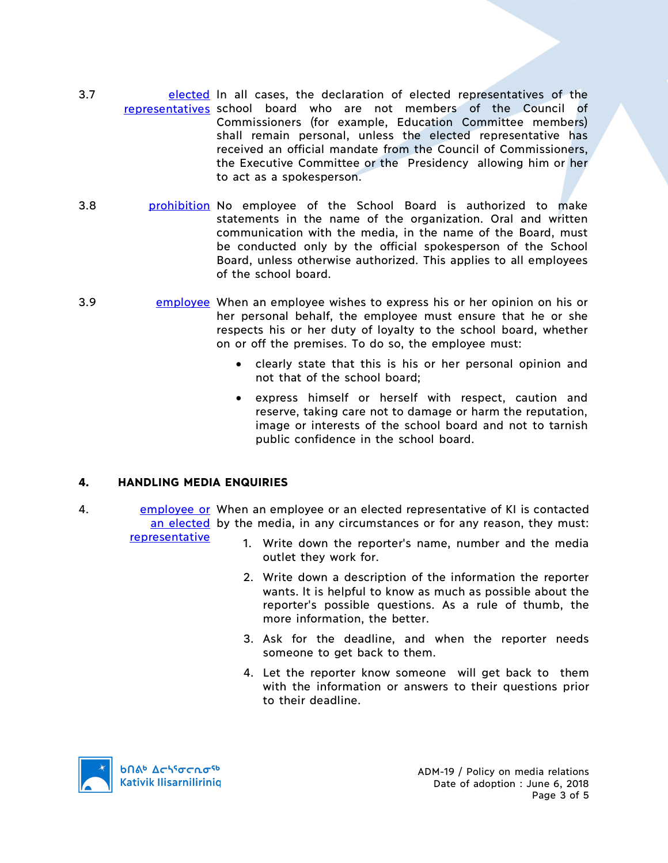- 3.7 **elected In all cases, the declaration of elected representatives of the** representatives school board who are not members of the Council of Commissioners (for example, Education Committee members) shall remain personal, unless the elected representative has received an official mandate from the Council of Commissioners, the Executive Committee or the Presidency allowing him or her to act as a spokesperson.
- 3.8 **prohibition** No employee of the School Board is authorized to make statements in the name of the organization. Oral and written communication with the media, in the name of the Board, must be conducted only by the official spokesperson of the School Board, unless otherwise authorized. This applies to all employees of the school board.
- 3.9 employee When an employee wishes to express his or her opinion on his or her personal behalf, the employee must ensure that he or she respects his or her duty of loyalty to the school board, whether on or off the premises. To do so, the employee must:
	- clearly state that this is his or her personal opinion and not that of the school board;
	- express himself or herself with respect, caution and reserve, taking care not to damage or harm the reputation, image or interests of the school board and not to tarnish public confidence in the school board.

## **4. HANDLING MEDIA ENQUIRIES**

- 4. employee or When an employee or an elected representative of KI is contacted an elected by the media, in any circumstances or for any reason, they must: representative
	- 1. Write down the reporter's name, number and the media outlet they work for.
		- 2. Write down a description of the information the reporter wants. lt is helpful to know as much as possible about the reporter's possible questions. As a rule of thumb, the more information, the better.
		- 3. Ask for the deadline, and when the reporter needs someone to get back to them.
		- 4. Let the reporter know someone will get back to them with the information or answers to their questions prior to their deadline.

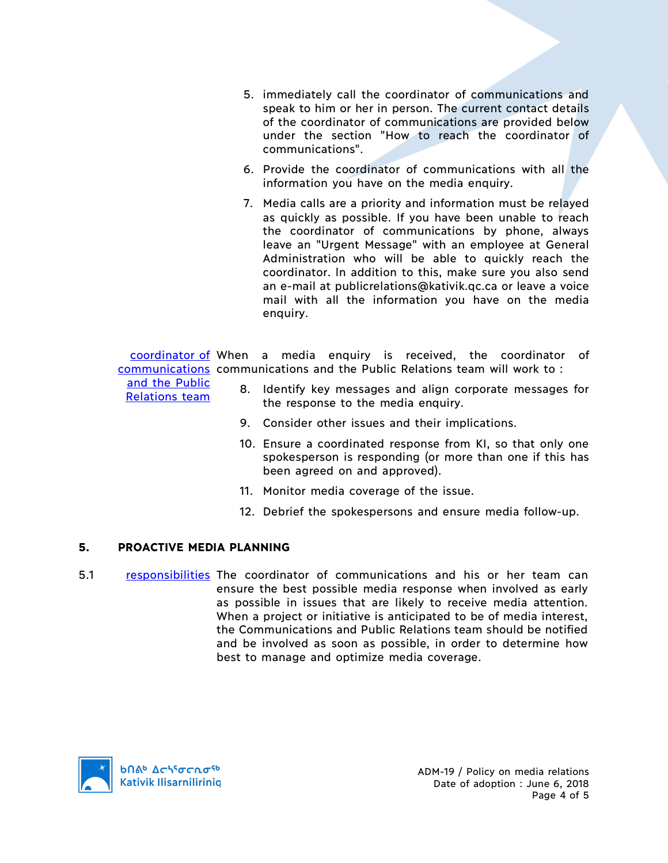- 5. immediately call the coordinator of communications and speak to him or her in person. The current contact details of the coordinator of communications are provided below under the section "How to reach the coordinator of communications".
- 6. Provide the coordinator of communications with all the information you have on the media enquiry.
- 7. Media calls are a priority and information must be relayed as quickly as possible. If you have been unable to reach the coordinator of communications by phone, always leave an "Urgent Message" with an employee at General Administration who will be able to quickly reach the coordinator. ln addition to this, make sure you also send an e-mail at publicrelations@kativik.qc.ca or leave a voice mail with all the information you have on the media enquiry.

coordinator of When a media enquiry is received, the coordinator of communications communications and the Public Relations team will work to :

and the Public Relations team

- 8. Identify key messages and align corporate messages for the response to the media enquiry.
- 9. Consider other issues and their implications.
- 10. Ensure a coordinated response from KI, so that only one spokesperson is responding (or more than one if this has been agreed on and approved).
- 11. Monitor media coverage of the issue.
- 12. Debrief the spokespersons and ensure media follow-up.

## **5. PROACTIVE MEDIA PLANNING**

5.1 responsibilities The coordinator of communications and his or her team can ensure the best possible media response when involved as early as possible in issues that are likely to receive media attention. When a project or initiative is anticipated to be of media interest, the Communications and Public Relations team should be notified and be involved as soon as possible, in order to determine how best to manage and optimize media coverage.